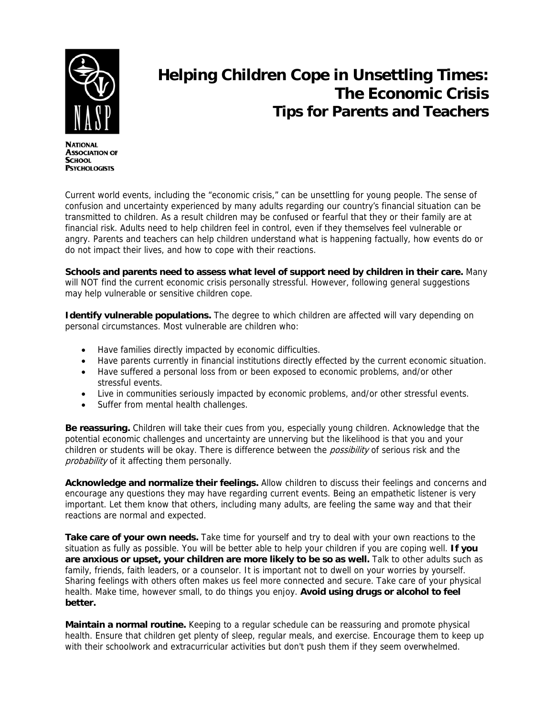

**NATIONAL ASSOCIATION OF SCHOOL PSYCHOLOGISTS** 

## **Helping Children Cope in Unsettling Times: The Economic Crisis Tips for Parents and Teachers**

Current world events, including the "economic crisis," can be unsettling for young people. The sense of confusion and uncertainty experienced by many adults regarding our country's financial situation can be transmitted to children. As a result children may be confused or fearful that they or their family are at financial risk. Adults need to help children feel in control, even if they themselves feel vulnerable or angry. Parents and teachers can help children understand what is happening factually, how events do or do not impact their lives, and how to cope with their reactions.

**Schools and parents need to assess what level of support need by children in their care.** Many will NOT find the current economic crisis personally stressful. However, following general suggestions may help vulnerable or sensitive children cope.

**Identify vulnerable populations.** The degree to which children are affected will vary depending on personal circumstances. Most vulnerable are children who:

- Have families directly impacted by economic difficulties.
- Have parents currently in financial institutions directly effected by the current economic situation.
- Have suffered a personal loss from or been exposed to economic problems, and/or other stressful events.
- Live in communities seriously impacted by economic problems, and/or other stressful events.
- Suffer from mental health challenges.

**Be reassuring.** Children will take their cues from you, especially young children. Acknowledge that the potential economic challenges and uncertainty are unnerving but the likelihood is that you and your children or students will be okay. There is difference between the *possibility* of serious risk and the probability of it affecting them personally.

**Acknowledge and normalize their feelings.** Allow children to discuss their feelings and concerns and encourage any questions they may have regarding current events. Being an empathetic listener is very important. Let them know that others, including many adults, are feeling the same way and that their reactions are normal and expected.

**Take care of your own needs.** Take time for yourself and try to deal with your own reactions to the situation as fully as possible. You will be better able to help your children if you are coping well. **If you are anxious or upset, your children are more likely to be so as well.** Talk to other adults such as family, friends, faith leaders, or a counselor. It is important not to dwell on your worries by yourself. Sharing feelings with others often makes us feel more connected and secure. Take care of your physical health. Make time, however small, to do things you enjoy. **Avoid using drugs or alcohol to feel better.** 

**Maintain a normal routine.** Keeping to a regular schedule can be reassuring and promote physical health. Ensure that children get plenty of sleep, regular meals, and exercise. Encourage them to keep up with their schoolwork and extracurricular activities but don't push them if they seem overwhelmed.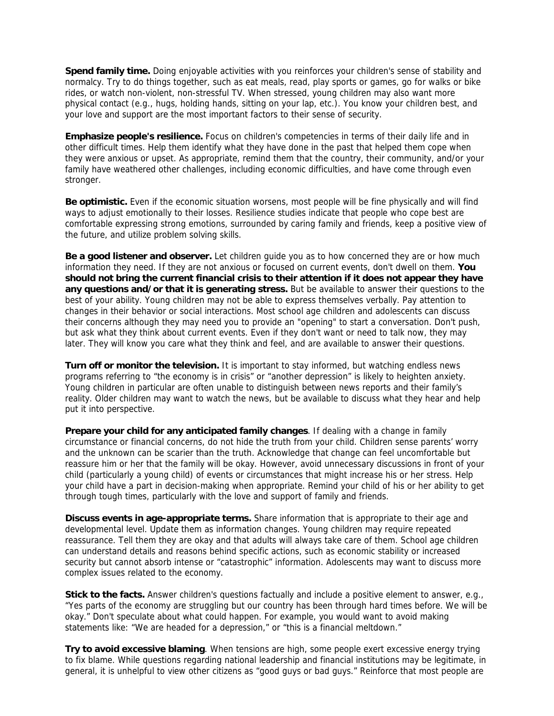**Spend family time.** Doing enjoyable activities with you reinforces your children's sense of stability and normalcy. Try to do things together, such as eat meals, read, play sports or games, go for walks or bike rides, or watch non-violent, non-stressful TV. When stressed, young children may also want more physical contact (e.g., hugs, holding hands, sitting on your lap, etc.). You know your children best, and your love and support are the most important factors to their sense of security.

**Emphasize people's resilience.** Focus on children's competencies in terms of their daily life and in other difficult times. Help them identify what they have done in the past that helped them cope when they were anxious or upset. As appropriate, remind them that the country, their community, and/or your family have weathered other challenges, including economic difficulties, and have come through even stronger.

**Be optimistic.** Even if the economic situation worsens, most people will be fine physically and will find ways to adjust emotionally to their losses. Resilience studies indicate that people who cope best are comfortable expressing strong emotions, surrounded by caring family and friends, keep a positive view of the future, and utilize problem solving skills.

**Be a good listener and observer.** Let children guide you as to how concerned they are or how much information they need. If they are not anxious or focused on current events, don't dwell on them. **You should not bring the current financial crisis to their attention if it does not appear they have any questions and/or that it is generating stress.** But be available to answer their questions to the best of your ability. Young children may not be able to express themselves verbally. Pay attention to changes in their behavior or social interactions. Most school age children and adolescents can discuss their concerns although they may need you to provide an "opening" to start a conversation. Don't push, but ask what they think about current events. Even if they don't want or need to talk now, they may later. They will know you care what they think and feel, and are available to answer their questions.

**Turn off or monitor the television.** It is important to stay informed, but watching endless news programs referring to "the economy is in crisis" or "another depression" is likely to heighten anxiety. Young children in particular are often unable to distinguish between news reports and their family's reality. Older children may want to watch the news, but be available to discuss what they hear and help put it into perspective.

**Prepare your child for any anticipated family changes**. If dealing with a change in family circumstance or financial concerns, do not hide the truth from your child. Children sense parents' worry and the unknown can be scarier than the truth. Acknowledge that change can feel uncomfortable but reassure him or her that the family will be okay. However, avoid unnecessary discussions in front of your child (particularly a young child) of events or circumstances that might increase his or her stress. Help your child have a part in decision-making when appropriate. Remind your child of his or her ability to get through tough times, particularly with the love and support of family and friends.

**Discuss events in age-appropriate terms.** Share information that is appropriate to their age and developmental level. Update them as information changes. Young children may require repeated reassurance. Tell them they are okay and that adults will always take care of them. School age children can understand details and reasons behind specific actions, such as economic stability or increased security but cannot absorb intense or "catastrophic" information. Adolescents may want to discuss more complex issues related to the economy.

**Stick to the facts.** Answer children's questions factually and include a positive element to answer, e.g., "Yes parts of the economy are struggling but our country has been through hard times before. We will be okay." Don't speculate about what could happen. For example, you would want to avoid making statements like: "We are headed for a depression," or "this is a financial meltdown."

**Try to avoid excessive blaming**. When tensions are high, some people exert excessive energy trying to fix blame. While questions regarding national leadership and financial institutions may be legitimate, in general, it is unhelpful to view other citizens as "good guys or bad guys." Reinforce that most people are